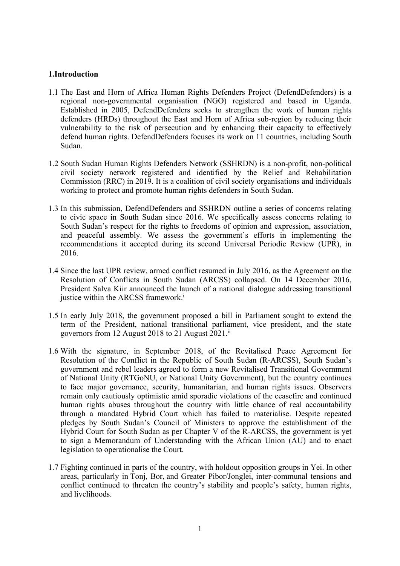### **1.Introduction**

- 1.1 The East and Horn of Africa Human Rights Defenders Project (DefendDefenders) is <sup>a</sup> regional non-governmental organisation (NGO) registered and based in Uganda. Established in 2005, DefendDefenders seeks to strengthen the work of human rights defenders (HRDs) throughout the East and Horn of Africa sub-region by reducing their vulnerability to the risk of persecution and by enhancing their capacity to effectively defend human rights. DefendDefenders focuses its work on 11 countries, including South Sudan.
- 1.2 South Sudan Human Rights Defenders Network (SSHRDN) is <sup>a</sup> non-profit, non-political civil society network registered and identified by the Relief and Rehabilitation Commission (RRC) in 2019. It is <sup>a</sup> coalition of civil society organisations and individuals working to protect and promote human rights defenders in South Sudan.
- 1.3 In this submission, DefendDefenders and SSHRDN outline <sup>a</sup> series of concerns relating to civic space in South Sudan since 2016. We specifically assess concerns relating to South Sudan'<sup>s</sup> respec<sup>t</sup> for the rights to freedoms of opinion and expression, association, and peaceful assembly. We assess the government'<sup>s</sup> efforts in implementing the recommendations it accepted during its second Universal Periodic Review (UPR), in 2016.
- 1.4 Since the last UPR review, armed conflict resumed in July 2016, as the Agreement on the Resolution of Conflicts in South Sudan (ARCSS) collapsed. On 14 December 2016, President Salva Kiir announced the launch of <sup>a</sup> national dialogue addressing transitional justice within the ARCSS framework.<sup>1</sup>
- 1.5 In early July 2018, the governmen<sup>t</sup> proposed <sup>a</sup> bill in Parliament sought to extend the term of the President, national transitional parliament, vice president, and the state governors from 12 August 2018 to 21 August 2021. ii
- 1.6 With the signature, in September 2018, of the Revitalised Peace Agreement for Resolution of the Conflict in the Republic of South Sudan (R-ARCSS), South Sudan'<sup>s</sup> governmen<sup>t</sup> and rebel leaders agreed to form <sup>a</sup> new Revitalised Transitional Government of National Unity (RTGoNU, or National Unity Government), but the country continues to face major governance, security, humanitarian, and human rights issues. Observers remain only cautiously optimistic amid sporadic violations of the ceasefire and continued human rights abuses throughout the country with little chance of real accountability through <sup>a</sup> mandated Hybrid Court which has failed to materialise. Despite repeated pledges by South Sudan'<sup>s</sup> Council of Ministers to approve the establishment of the Hybrid Court for South Sudan as per Chapter V of the R-ARCSS, the governmen<sup>t</sup> is ye<sup>t</sup> to sign <sup>a</sup> Memorandum of Understanding with the African Union (AU) and to enact legislation to operationalise the Court.
- 1.7 Fighting continued in parts of the country, with holdout opposition groups in Yei. In other areas, particularly in Tonj, Bor, and Greater Pibor/Jonglei, inter-communal tensions and conflict continued to threaten the country'<sup>s</sup> stability and people'<sup>s</sup> safety, human rights, and livelihoods.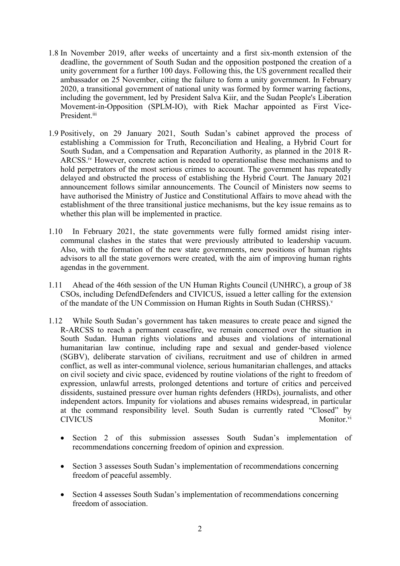- 1.8 In November 2019, after weeks of uncertainty and <sup>a</sup> first six-month extension of the deadline, the governmen<sup>t</sup> of South Sudan and the opposition postponed the creation of <sup>a</sup> unity governmen<sup>t</sup> for <sup>a</sup> further 100 days. Following this, the US governmen<sup>t</sup> recalled their ambassador on 25 November, citing the failure to form <sup>a</sup> unity government. In February 2020, <sup>a</sup> transitional governmen<sup>t</sup> of national unity was formed by former warring factions, including the government, led by President Salva Kiir, and the Sudan People's Liberation Movement-in-Opposition (SPLM-IO), with Riek Machar appointed as First Vice-President.<sup>iii</sup>
- 1.9 Positively, on 29 January 2021, South Sudan'<sup>s</sup> cabinet approved the process of establishing <sup>a</sup> Commission for Truth, Reconciliation and Healing, <sup>a</sup> Hybrid Court for South Sudan, and <sup>a</sup> Compensation and Reparation Authority, as planned in the 2018 R-ARCSS.<sup>iv</sup> However, concrete action is needed to operationalise these mechanisms and to hold perpetrators of the most serious crimes to account. The governmen<sup>t</sup> has repeatedly delayed and obstructed the process of establishing the Hybrid Court. The January 2021 announcement follows similar announcements. The Council of Ministers now seems to have authorised the Ministry of Justice and Constitutional Affairs to move ahead with the establishment of the three transitional justice mechanisms, but the key issue remains as to whether this plan will be implemented in practice.
- 1.10 In February 2021, the state governments were fully formed amidst rising intercommunal clashes in the states that were previously attributed to leadership vacuum. Also, with the formation of the new state governments, new positions of human rights advisors to all the state governors were created, with the aim of improving human rights agendas in the government.
- 1.11 Ahead of the 46th session of the UN Human Rights Council (UNHRC), <sup>a</sup> group of 38 CSOs, including DefendDefenders and CIVICUS, issued <sup>a</sup> letter calling for the extension of the mandate of the UN Commission on Human Rights in South Sudan (CHRSS). v
- 1.12 While South Sudan'<sup>s</sup> governmen<sup>t</sup> has taken measures to create peace and signed the R-ARCSS to reach <sup>a</sup> permanen<sup>t</sup> ceasefire, we remain concerned over the situation in South Sudan. Human rights violations and abuses and violations of international humanitarian law continue, including rape and sexual and gender-based violence (SGBV), deliberate starvation of civilians, recruitment and use of children in armed conflict, as well as inter-communal violence, serious humanitarian challenges, and attacks on civil society and civic space, evidenced by routine violations of the right to freedom of expression, unlawful arrests, prolonged detentions and torture of critics and perceived dissidents, sustained pressure over human rights defenders (HRDs), journalists, and other independent actors. Impunity for violations and abuses remains widespread, in particular at the command responsibility level. South Sudan is currently rated "Closed" by **CIVICUS** Monitor<sup>vi</sup>
	- $\bullet$  Section 2 of this submission assesses South Sudan'<sup>s</sup> implementation of recommendations concerning freedom of opinion and expression.
	- $\bullet$  Section 3 assesses South Sudan'<sup>s</sup> implementation of recommendations concerning freedom of peaceful assembly.
	- $\bullet$  Section 4 assesses South Sudan'<sup>s</sup> implementation of recommendations concerning freedom of association.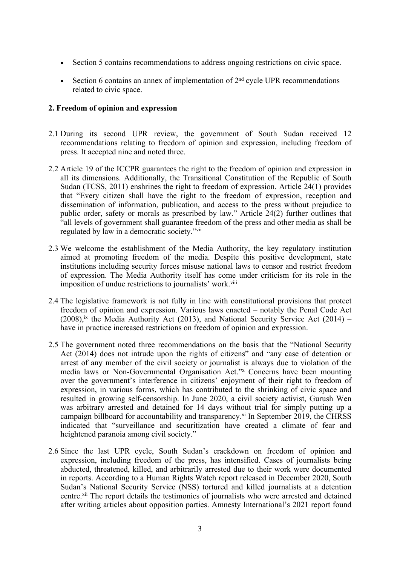- $\bullet$ Section 5 contains recommendations to address ongoing restrictions on civic space.
- c • Section 6 contains an annex of implementation of  $2<sup>nd</sup>$  cycle UPR recommendations related to civic space.

## **2. Freedom of opinion and expression**

- 2.1 During its second UPR review, the governmen<sup>t</sup> of South Sudan received 12 recommendations relating to freedom of opinion and expression, including freedom of press. It accepted nine and noted three.
- 2.2 Article 19 of the ICCPR guarantees the right to the freedom of opinion and expression in all its dimensions. Additionally, the Transitional Constitution of the Republic of South Sudan (TCSS, 2011) enshrines the right to freedom of expression. Article 24(1) provides that "Every citizen shall have the right to the freedom of expression, reception and dissemination of information, publication, and access to the press without prejudice to public order, safety or morals as prescribed by law." Article 24(2) further outlines that "all levels of governmen<sup>t</sup> shall guarantee freedom of the press and other media as shall be regulated by law in <sup>a</sup> democratic society."vii
- 2.3 We welcome the establishment of the Media Authority, the key regulatory institution aimed at promoting freedom of the media. Despite this positive development, state institutions including security forces misuse national laws to censor and restrict freedom of expression. The Media Authority itself has come under criticism for its role in the imposition of undue restrictions to journalists' work.<sup>viii</sup>
- 2.4 The legislative framework is not fully in line with constitutional provisions that protect freedom of opinion and expression. Various laws enacted – notably the Penal Code Act  $(2008)$ ,<sup>ix</sup> the Media Authority Act (2013), and National Security Service Act (2014) – have in practice increased restrictions on freedom of opinion and expression.
- 2.5 The governmen<sup>t</sup> noted three recommendations on the basis that the "National Security Act (2014) does not intrude upon the rights of citizens" and "any case of detention or arrest of any member of the civil society or journalist is always due to violation of the media laws or Non-Governmental Organisation Act."<sup>x</sup> Concerns have been mounting over the government'<sup>s</sup> interference in citizens' enjoyment of their right to freedom of expression, in various forms, which has contributed to the shrinking of civic space and resulted in growing self-censorship. In June 2020, <sup>a</sup> civil society activist, Gurush Wen was arbitrary arrested and detained for 14 days without trial for simply putting up <sup>a</sup> campaign billboard for accountability and transparency.<sup>xi</sup> In September 2019, the CHRSS indicated that "surveillance and securitization have created <sup>a</sup> climate of fear and heightened paranoia among civil society."
- 2.6 Since the last UPR cycle, South Sudan'<sup>s</sup> crackdown on freedom of opinion and expression, including freedom of the press, has intensified. Cases of journalists being abducted, threatened, killed, and arbitrarily arrested due to their work were documented in reports. According to <sup>a</sup> Human Rights Watch repor<sup>t</sup> released in December 2020, South Sudan'<sup>s</sup> National Security Service (NSS) tortured and killed journalists at <sup>a</sup> detention centre.<sup>xii</sup> The report details the testimonies of journalists who were arrested and detained after writing articles about opposition parties. Amnesty International'<sup>s</sup> 2021 repor<sup>t</sup> found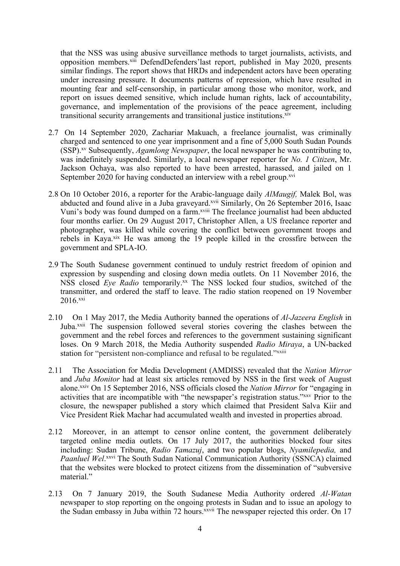that the NSS was using abusive surveillance methods to target journalists, activists, and opposition members.<sup>xiii</sup> DefendDefenders'last report, published in May 2020, presents similar findings. The repor<sup>t</sup> shows that HRDs and independent actors have been operating under increasing pressure. It documents patterns of repression, which have resulted in mounting fear and self-censorship, in particular among those who monitor, work, and repor<sup>t</sup> on issues deemed sensitive, which include human rights, lack of accountability, governance, and implementation of the provisions of the peace agreement, including transitional security arrangements and transitional justice institutions.<sup>xiv</sup>

- 2.7 On 14 September 2020, Zachariar Makuach, <sup>a</sup> freelance journalist, was criminally charged and sentenced to one year imprisonment and <sup>a</sup> fine of 5,000 South Sudan Pounds (SSP). xv Subsequently, *Agamlong Newspaper*, the local newspaper he was contributing to, was indefinitely suspended. Similarly, <sup>a</sup> local newspaper reporter for *No. 1 Citizen*, Mr. Jackson Ochaya, was also reported to have been arrested, harassed, and jailed on 1 September 2020 for having conducted an interview with a rebel group.<sup>xvi</sup>
- 2.8 On 10 October 2016, <sup>a</sup> reporter for the Arabic-language daily *AlMaugif,* Malek Bol, was abducted and found alive in a Juba graveyard.<sup>xvii</sup> Similarly, On 26 September 2016, Isaac Vuni'<sup>s</sup> body was found dumped on <sup>a</sup> farm. xviii The freelance journalist had been abducted four months earlier. On 29 August 2017, Christopher Allen, <sup>a</sup> US freelance reporter and photographer, was killed while covering the conflict between governmen<sup>t</sup> troops and rebels in Kaya.<sup>xix</sup> He was among the 19 people killed in the crossfire between the governmen<sup>t</sup> and SPLA-IO.
- 2.9 The South Sudanese governmen<sup>t</sup> continued to unduly restrict freedom of opinion and expression by suspending and closing down media outlets. On 11 November 2016, the NSS closed *Eye Radio* temporarily. xx The NSS locked four studios, switched of the transmitter, and ordered the staff to leave. The radio station reopened on 19 November 2016.<sup>xxi</sup>
- 2.10 On 1 May 2017, the Media Authority banned the operations of *Al-Jazeera English* in Juba.<sup>xxii</sup> The suspension followed several stories covering the clashes between the governmen<sup>t</sup> and the rebel forces and references to the governmen<sup>t</sup> sustaining significant loses. On 9 March 2018, the Media Authority suspended *Radio Miraya*, <sup>a</sup> UN-backed station for "persistent non-compliance and refusal to be regulated."<sup>xxiii</sup>
- 2.11 The Association for Media Development (AMDISS) revealed that the *Nation Mirror* and *Juba Monitor* had at least six articles removed by NSS in the first week of August alone. xxiv On 15 September 2016, NSS officials closed the *Nation Mirror* for "engaging in activities that are incompatible with "the newspaper's registration status." XXXV Prior to the closure, the newspaper published <sup>a</sup> story which claimed that President Salva Kiir and Vice President Riek Machar had accumulated wealth and invested in properties abroad.
- 2.12 Moreover, in an attempt to censor online content, the governmen<sup>t</sup> deliberately targeted online media outlets. On 17 July 2017, the authorities blocked four sites including: Sudan Tribune, *Radio Tamazuj*, and two popular blogs, *Nyamilepedia,* and Paanluel Wel.<sup>xxvi</sup> The South Sudan National Communication Authority (SSNCA) claimed that the websites were blocked to protect citizens from the dissemination of "subversive material."
- 2.13 On 7 January 2019, the South Sudanese Media Authority ordered *Al-Watan* newspaper to stop reporting on the ongoing protests in Sudan and to issue an apology to the Sudan embassy in Juba within 72 hours. XXVII The newspaper rejected this order. On 17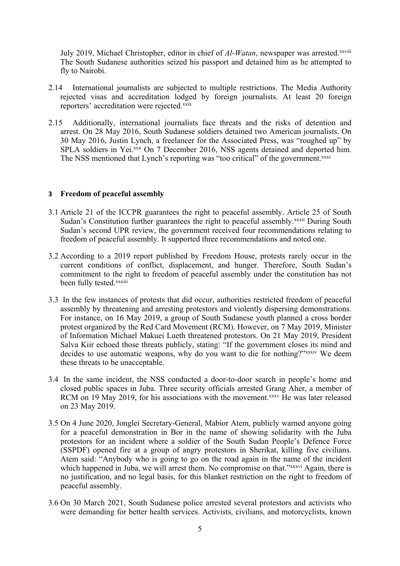July 2019, Michael Christopher, editor in chief of *Al-Watan*, newspaper was arrested.<sup>xxviii</sup> The South Sudanese authorities seized his passpor<sup>t</sup> and detained him as he attempted to fly to Nairobi.

- 2.14 International journalists are subjected to multiple restrictions. The Media Authority rejected visas and accreditation lodged by foreign journalists. At least 20 foreign reporters' accreditation were rejected.xxix
- 2.15 Additionally, international journalists face threats and the risks of detention and arrest. On 28 May 2016, South Sudanese soldiers detained two American journalists. On 30 May 2016, Justin Lynch, <sup>a</sup> freelancer for the Associated Press, was "roughed up" by SPLA soldiers in Yei.<sup>xxx</sup> On 7 December 2016, NSS agents detained and deported him. The NSS mentioned that Lynch's reporting was "too critical" of the government.<sup>xxxi</sup>

### **<sup>3</sup> Freedom of peaceful assembly**

- 3.1 Article 21 of the ICCPR guarantees the right to peaceful assembly. Article 25 of South Sudan's Constitution further guarantees the right to peaceful assembly.<sup>xxxii</sup> During South Sudan'<sup>s</sup> second UPR review, the governmen<sup>t</sup> received four recommendations relating to freedom of peaceful assembly. It supported three recommendations and noted one.
- 3.2 According to <sup>a</sup> 2019 repor<sup>t</sup> published by Freedom House, protests rarely occur in the current conditions of conflict, displacement, and hunger. Therefore, South Sudan'<sup>s</sup> commitment to the right to freedom of peaceful assembly under the constitution has not been fully tested.<sup>xxxiii</sup>
- 3.3 In the few instances of protests that did occur, authorities restricted freedom of peaceful assembly by threatening and arresting protestors and violently dispersing demonstrations. For instance, on 16 May 2019, <sup>a</sup> group of South Sudanese youth planned <sup>a</sup> cross border protest organized by the Red Card Movement (RCM). However, on 7 May 2019, Minister of Information Michael Makuei Lueth threatened protestors. On 21 May 2019, President Salva Kiir echoed those threats publicly, stating: "If the governmen<sup>t</sup> closes its mind and decides to use automatic weapons, why do you want to die for nothing?"*xxxiv* We deem these threats to be unacceptable.
- 3.4 In the same incident, the NSS conducted <sup>a</sup> door-to-door search in people'<sup>s</sup> home and closed public spaces in Juba. Three security officials arrested Grang Aher, <sup>a</sup> member of RCM on 19 May 2019, for his associations with the movement.<sup>xxxv</sup> He was later released on 23 May 2019.
- 3.5 On 4 June 2020, Jonglei Secretary-General, Mabior Atem, publicly warned anyone going for <sup>a</sup> peaceful demonstration in Bor in the name of showing solidarity with the Juba protestors for an incident where <sup>a</sup> soldier of the South Sudan People'<sup>s</sup> Defence Force (SSPDF) opened fire at <sup>a</sup> group of angry protestors in Sherikat, killing five civilians. Atem said: "Anybody who is going to go on the road again in the name of the incident which happened in Juba, we will arrest them. No compromise on that."*xxxvi* Again, there is no justification, and no legal basis, for this blanket restriction on the right to freedom of peaceful assembly.
- 3.6 On 30 March 2021, South Sudanese police arrested several protestors and activists who were demanding for better health services. Activists, civilians, and motorcyclists, known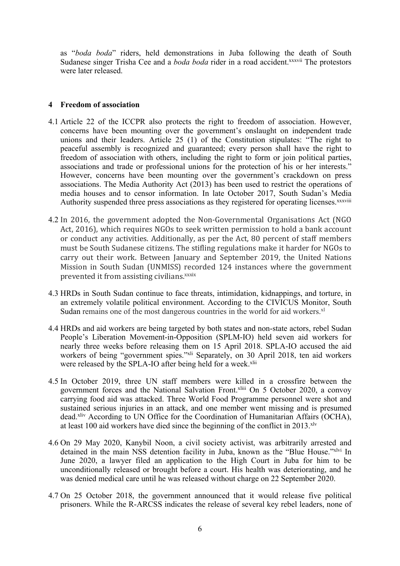as "*boda boda*" riders, held demonstrations in Juba following the death of South Sudanese singer Trisha Cee and a *boda boda* rider in a road accident.<sup>xxxvii</sup> The protestors were later released.

## **4 Freedom of association**

- 4.1 Article 22 of the ICCPR also protects the right to freedom of association. However, concerns have been mounting over the government'<sup>s</sup> onslaught on independent trade unions and their leaders. Article 25 (1) of the Constitution stipulates: "The right to peaceful assembly is recognized and guaranteed; every person shall have the right to freedom of association with others, including the right to form or join political parties, associations and trade or professional unions for the protection of his or her interests." However, concerns have been mounting over the government'<sup>s</sup> crackdown on press associations. The Media Authority Act (2013) has been used to restrict the operations of media houses and to censor information. In late October 2017, South Sudan'<sup>s</sup> Media Authority suspended three press associations as they registered for operating licenses.<sup>xxxviii</sup>
- 4.2 In 2016, the governmen<sup>t</sup> adopted the Non-Governmental Organisations Act (NGO Act, 2016), which requires NGOs to seek written permission to hold <sup>a</sup> bank account or conduct any activities. Additionally, as per the Act, 80 percent of staff members must be South Sudanese citizens. The stifling regulations make it harder for NGOs to carry out their work. Between January and September 2019, the United Nations Mission in South Sudan (UNMISS) recorded 124 instances where the governmen<sup>t</sup> prevented it from assisting civilians.<sup>xxxix</sup>
- 4.3 HRDs in South Sudan continue to face threats, intimidation, kidnappings, and torture, in an extremely volatile political environment. According to the CIVICUS Monitor, South Sudan remains one of the most dangerous countries in the world for aid workers.<sup>xl</sup>
- 4.4 HRDs and aid workers are being targeted by both states and non-state actors, rebel Sudan People'<sup>s</sup> Liberation Movement-in-Opposition (SPLM-IO) held seven aid workers for nearly three weeks before releasing them on 15 April 2018. SPLA-IO accused the aid workers of being "government spies."<sup>xli</sup> Separately, on 30 April 2018, ten aid workers were released by the SPLA-IO after being held for a week.<sup>xlii</sup>
- 4.5 In October 2019, three UN staff members were killed in <sup>a</sup> crossfire between the governmen<sup>t</sup> forces and the National Salvation Front. xliii On <sup>5</sup> October 2020, <sup>a</sup> convoy carrying food aid was attacked. Three World Food Programme personnel were shot and sustained serious injuries in an attack, and one member went missing and is presumed dead.<sup>xliv</sup> According to UN Office for the Coordination of Humanitarian Affairs (OCHA), at least 100 aid workers have died since the beginning of the conflict in 2013.<sup>xlv</sup>
- 4.6 On 29 May 2020, Kanybil Noon, <sup>a</sup> civil society activist, was arbitrarily arrested and detained in the main NSS detention facility in Juba, known as the "Blue House."xlvi In June 2020, <sup>a</sup> lawyer filed an application to the High Court in Juba for him to be unconditionally released or brought before <sup>a</sup> court. His health was deteriorating, and he was denied medical care until he was released without charge on 22 September 2020.
- 4.7 On 25 October 2018, the governmen<sup>t</sup> announced that it would release five political prisoners. While the R-ARCSS indicates the release of several key rebel leaders, none of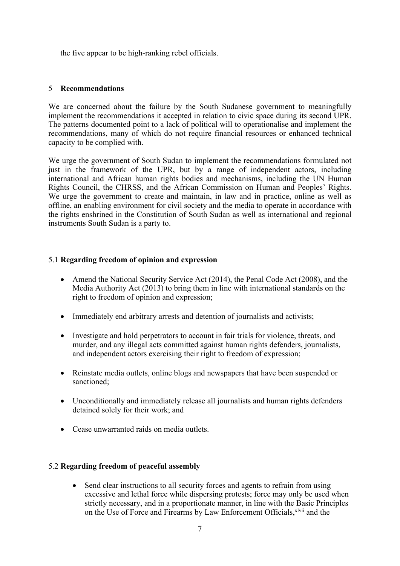the five appear to be high-ranking rebel officials.

# 5 **Recommendations**

We are concerned about the failure by the South Sudanese governmen<sup>t</sup> to meaningfully implement the recommendations it accepted in relation to civic space during its second UPR. The patterns documented point to <sup>a</sup> lack of political will to operationalise and implement the recommendations, many of which do not require financial resources or enhanced technical capacity to be complied with.

We urge the governmen<sup>t</sup> of South Sudan to implement the recommendations formulated not just in the framework of the UPR, but by <sup>a</sup> range of independent actors, including international and African human rights bodies and mechanisms, including the UN Human Rights Council, the CHRSS, and the African Commission on Human and Peoples' Rights. We urge the governmen<sup>t</sup> to create and maintain, in law and in practice, online as well as offline, an enabling environment for civil society and the media to operate in accordance with the rights enshrined in the Constitution of South Sudan as well as international and regional instruments South Sudan is <sup>a</sup> party to.

# 5.1 **Regarding freedom of opinion and expression**

- Amend the National Security Service Act (2014), the Penal Code Act (2008), and the Media Authority Act (2013) to bring them in line with international standards on the right to freedom of opinion and expression;
- Immediately end arbitrary arrests and detention of journalists and activists;
- Investigate and hold perpetrators to account in fair trials for violence, threats, and murder, and any illegal acts committed against human rights defenders, journalists, and independent actors exercising their right to freedom of expression;
- Reinstate media outlets, online blogs and newspapers that have been suspended or sanctioned;
- Unconditionally and immediately release all journalists and human rights defenders detained solely for their work; and
- Cease unwarranted raids on media outlets.

### 5.2 **Regarding freedom of peaceful assembly**

 $\bullet$  Send clear instructions to all security forces and agents to refrain from using excessive and lethal force while dispersing protests; force may only be used when strictly necessary, and in <sup>a</sup> proportionate manner, in line with the Basic Principles on the Use of Force and Firearms by Law Enforcement Officials, xlvii and the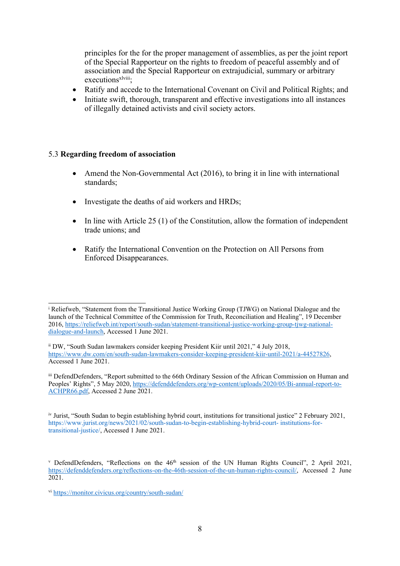principles for the for the proper managemen<sup>t</sup> of assemblies, as per the joint repor<sup>t</sup> of the Special Rapporteur on the rights to freedom of peaceful assembly and of association and the Special Rapporteur on extrajudicial, summary or arbitrary executions<sup>xlviii</sup>;

- 6 Ratify and accede to the International Covenant on Civil and Political Rights; and
- 6 Initiate swift, thorough, transparent and effective investigations into all instances of illegally detained activists and civil society actors.

# 5.3 **Regarding freedom of association**

- 6 Amend the Non-Governmental Act (2016), to bring it in line with international standards;
- 6 Investigate the deaths of aid workers and HRDs;
- e In line with Article 25 (1) of the Constitution, allow the formation of independent trade unions; and
- e Ratify the International Convention on the Protection on All Persons from Enforced Disappearances.

iii DefendDefenders, "Report submitted to the 66th Ordinary Session of the African Commission on Human and Peoples' Rights", 5 May 2020, [https://defenddefenders.org/wp-content/uploads/2020/05/Bi-annual-report-to-](about:blank)[ACHPR66.pdf](about:blank), Accessed 2 June 2021.

iv Jurist, "South Sudan to begin establishing hybrid court, institutions for transitional justice" 2 February 2021, https://www.jurist.org/news/2021/02/south-sudan-to-begin-establishing-hybrid-court- institutions-fortransitional-justice/, Accessed 1 June 2021.

<sup>i</sup> Reliefweb, "Statement from the Transitional Justice Working Group (TJWG) on National Dialogue and the launch of the Technical Committee of the Commission for Truth, Reconciliation and Healing", 19 December 2016, [https://reliefweb.int/report/south-sudan/statement-transitional-justice-working-group-tjwg-national](about:blank)[dialogue-and-launch](about:blank), Accessed 1 June 2021.

ii DW, "South Sudan lawmakers consider keeping President Kiir until 2021," <sup>4</sup> July 2018, [https://www.dw.com/en/south-sudan-lawmakers-consider-keeping-president-kiir-until-2021/a-44527826](about:blank), Accessed 1 June 2021.

v DefendDefenders, "Reflections on the  $46<sup>th</sup>$  session of the UN Human Rights Council", 2 April 2021, [https://defenddefenders.org/reflections-on-the-46th-session-of-the-un-human-rights-council/](about:blank), Accessed 2 June 2021.

<sup>&</sup>lt;sup>vi</sup> <https://monitor.civicus.org/country/south-sudan/>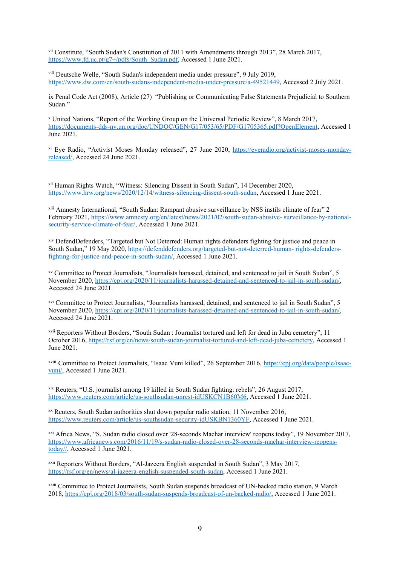vii Constitute, "South Sudan's Constitution of 2011 with Amendments through 2013", 28 March 2017, [https://www.fd.uc.pt/g7+/pdfs/South\\_Sudan.pdf](about:blank), Accessed 1 June 2021.

viii Deutsche Welle, "South Sudan's independent media under pressure", 9 July 2019, <https://www.dw.com/en/south-sudans-independent-media-under-pressure/a-49521449>, Accessed 2 July 2021.

ix Penal Code Act (2008), Article (27) "Publishing or Communicating False Statements Prejudicial to Southern Sudan."

<sup>x</sup> United Nations, "Report of the Working Group on the Universal Periodic Review", 8 March 2017, [https://documents-dds-ny.un.org/doc/UNDOC/GEN/G17/053/65/PDF/G1705365.pdf?OpenElement](about:blank), Accessed 1 June 2021.

<sup>xi</sup> Eye Radio, "Activist Moses Monday released", 27 June 2020, [https://eyeradio.org/activist-moses-monday](about:blank)[released/](about:blank), Accessed 24 June 2021.

xii Human Rights Watch, "Witness: Silencing Dissent in South Sudan", <sup>14</sup> December 2020, https://www.hrw.org/news/2020/12/14/witness-silencing-dissent-south-sudan, Accessed 1 June 2021.

xiii Amnesty International, "South Sudan: Rampant abusive surveillance by NSS instils climate of fear" <sup>2</sup> February 2021, https://www.amnesty.org/en/latest/news/2021/02/south-sudan-abusive- surveillance-by-nationalsecurity-service-climate-of-fear/, Accessed 1 June 2021.

xiv DefendDefenders, "Targeted but Not Deterred: Human rights defenders fighting for justice and peace in South Sudan," 19 May 2020, https://defenddefenders.org/targeted-but-not-deterred-human- rights-defendersfighting-for-justice-and-peace-in-south-sudan/, Accessed 1 June 2021.

xv Committee to Protect Journalists, "Journalists harassed, detained, and sentenced to jail in South Sudan", 5 November 2020, [https://cpj.org/2020/11/journalists-harassed-detained-and-sentenced-to-jail-in-south-sudan/](about:blank), Accessed 24 June 2021.

xvi Committee to Protect Journalists, "Journalists harassed, detained, and sentenced to jail in South Sudan", <sup>5</sup> November 2020, [https://cpj.org/2020/11/journalists-harassed-detained-and-sentenced-to-jail-in-south-sudan/](about:blank), Accessed 24 June 2021.

xvii Reporters Without Borders, "South Sudan : Journalist tortured and left for dead in Juba cemetery", <sup>11</sup> October 2016, [https://rsf.org/en/news/south-sudan-journalist-tortured-and-left-dead-juba-cemetery](about:blank), Accessed 1 June 2021.

xviii Committee to Protect Journalists, "Isaac Vuni killed", 26 September 2016, [https://cpj.org/data/people/isaac](about:blank)[vuni/](about:blank), Accessed 1 June 2021.

xix Reuters, "U.S. journalist among 19 killed in South Sudan fighting: rebels", 26 August 2017, [https://www.reuters.com/article/us-southsudan-unrest-idUSKCN1B60M6](about:blank), Accessed 1 June 2021.

xx Reuters, South Sudan authorities shut down popular radio station, 11 November 2016, [https://www.reuters.com/article/us-southsudan-security-idUSKBN1360YF](about:blank), Accessed 1 June 2021.

xxi Africa News, "S. Sudan radio closed over '28-seconds Machar interview' reopens today", 19 November 2017, [https://www.africanews.com/2016/11/19/s-sudan-radio-closed-over-28-seconds-machar-interview-reopens](about:blank)[today//](about:blank), Accessed 1 June 2021.

xxii Reporters Without Borders, "Al-Jazeera English suspended in South Sudan", 3 May 2017, [https://rsf.org/en/news/al-jazeera-english-suspended-south-sudan](about:blank), Accessed 1 June 2021.

xxiii Committee to Protect Journalists, South Sudan suspends broadcast of UN-backed radio station, 9 March 2018, [https://cpj.org/2018/03/south-sudan-suspends-broadcast-of-un-backed-radio/](about:blank), Accessed 1 June 2021.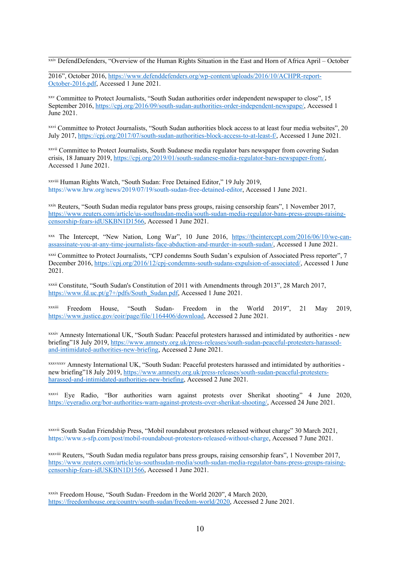xxiv DefendDefenders, "Overview of the Human Rights Situation in the East and Horn of Africa April – October

2016", October 2016, [https://www.defenddefenders.org/wp-content/uploads/2016/10/ACHPR-report-](about:blank)[October-2016.pdf](about:blank), Accessed 1 June 2021.

xxv Committee to Protect Journalists, "South Sudan authorities order independent newspaper to close", 15 September 2016, [https://cpj.org/2016/09/south-sudan-authorities-order-independent-newspape/](about:blank), Accessed 1 June 2021.

xxvi Committee to Protect Journalists, "South Sudan authorities block access to at least four media websites", 20 July 2017, [https://cpj.org/2017/07/south-sudan-authorities-block-access-to-at-least-f/](about:blank), Accessed 1 June 2021.

xxvii Committee to Protect Journalists, South Sudanese media regulator bars newspaper from covering Sudan crisis, 18 January 2019, [https://cpj.org/2019/01/south-sudanese-media-regulator-bars-newspaper-from/](about:blank), Accessed 1 June 2021.

xxviii Human Rights Watch, "South Sudan: Free Detained Editor," 19 July 2019, https://www.hrw.org/news/2019/07/19/south-sudan-free-detained-editor, Accessed 1 June 2021.

xxix Reuters, "South Sudan media regulator bans press groups, raising censorship fears", <sup>1</sup> November 2017, [https://www.reuters.com/article/us-southsudan-media/south-sudan-media-regulator-bans-press-groups-raising](about:blank)[censorship-fears-idUSKBN1D1566](about:blank), Accessed 1 June 2021.

<sup>xxx</sup> The Intercept, "New Nation, Long War", 10 June 2016, [https://theintercept.com/2016/06/10/we-can](about:blank)[assassinate-you-at-any-time-journalists-face-abduction-and-murder-in-south-sudan/](about:blank), Accessed 1 June 2021.

xxxi Committee to Protect Journalists, "CPJ condemns South Sudan'<sup>s</sup> expulsion of Associated Press reporter", <sup>7</sup> December 2016, [https://cpj.org/2016/12/cpj-condemns-south-sudans-expulsion-of-associated/](about:blank), Accessed 1 June 2021.

xxxii Constitute, "South Sudan's Constitution of 2011 with Amendments through 2013", 28 March 2017, [https://www.fd.uc.pt/g7+/pdfs/South](about:blank)\_[Sudan.pdf](about:blank), Accessed 1 June 2021.

xxxiii Freedom House, "South Sudan- Freedom in the World 2019", 21 May 2019, [https://www.justice.gov/eoir/page/file/1164406/download](about:blank), Accessed 2 June 2021.

xxxiv Amnesty International UK, "South Sudan: Peaceful protesters harassed and intimidated by authorities - new briefing"18 July 2019, [https://www.amnesty.org.uk/press-releases/south-sudan-peaceful-protesters-harassed](about:blank)[and-intimidated-authorities-new-briefing](about:blank), Accessed 2 June 2021.

xxxvxxxv Amnesty International UK, "South Sudan: Peaceful protesters harassed and intimidated by authorities new briefing"18 July 2019, [https://www.amnesty.org.uk/press-releases/south-sudan-peaceful-protesters](about:blank)[harassed-and-intimidated-authorities-new-briefing](about:blank), Accessed 2 June 2021.

xxxvi Eye Radio, "Bor authorities warn against protests over Sherikat shooting" 4 June 2020, [https://eyeradio.org/bor-authorities-warn-against-protests-over-sherikat-shooting/](about:blank), Accessed 24 June 2021.

<sup>xxxvii</sup> South Sudan Friendship Press, "Mobil roundabout protestors released without charge" 30 March 2021, https://www.s-sfp.com/post/mobil-roundabout-protestors-released-without-charge, Accessed 7 June 2021.

xxxviii Reuters, "South Sudan media regulator bans press groups, raising censorship fears", <sup>1</sup> November 2017, [https://www.reuters.com/article/us-southsudan-media/south-sudan-media-regulator-bans-press-groups-raising](about:blank)[censorship-fears-idUSKBN1D1566](about:blank), Accessed 1 June 2021.

xxxix Freedom House, "South Sudan- Freedom in the World 2020", 4 March 2020, [https://freedomhouse.org/country/south-sudan/freedom-world/2020](about:blank), Accessed 2 June 2021.